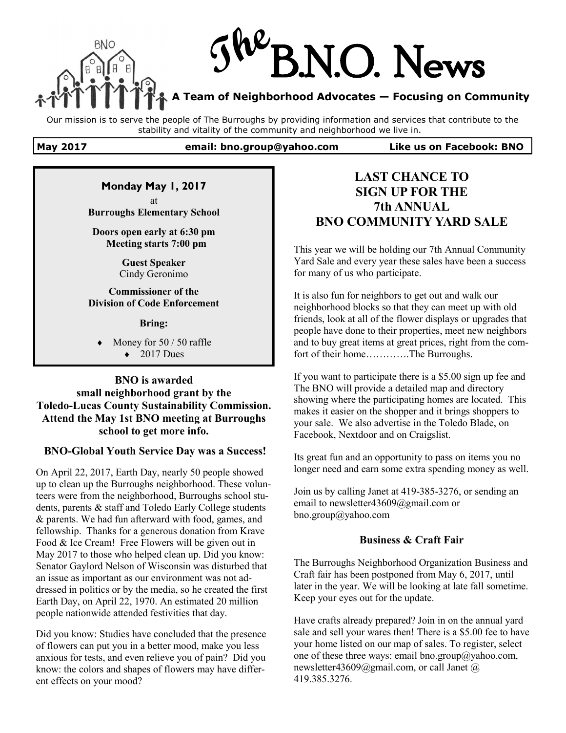

Our mission is to serve the people of The Burroughs by providing information and services that contribute to the stability and vitality of the community and neighborhood we live in.

#### **May 2017 email: bno.group@yahoo.com Like us on Facebook: BNO**

# **Monday May 1, 2017**

at **Burroughs Elementary School** 

**Doors open early at 6:30 pm Meeting starts 7:00 pm**

> **Guest Speaker** Cindy Geronimo

**Commissioner of the Division of Code Enforcement**

**Bring:**

 Money for 50 / 50 raffle  $\triangle$  2017 Dues

#### **BNO is awarded small neighborhood grant by the Toledo-Lucas County Sustainability Commission. Attend the May 1st BNO meeting at Burroughs school to get more info.**

### **BNO-Global Youth Service Day was a Success!**

On April 22, 2017, Earth Day, nearly 50 people showed up to clean up the Burroughs neighborhood. These volunteers were from the neighborhood, Burroughs school students, parents & staff and Toledo Early College students & parents. We had fun afterward with food, games, and fellowship. Thanks for a generous donation from Krave Food & Ice Cream! Free Flowers will be given out in May 2017 to those who helped clean up. Did you know: Senator Gaylord Nelson of Wisconsin was disturbed that an issue as important as our environment was not addressed in politics or by the media, so he created the first Earth Day, on April 22, 1970. An estimated 20 million people nationwide attended festivities that day.

Did you know: Studies have concluded that the presence of flowers can put you in a better mood, make you less anxious for tests, and even relieve you of pain? Did you know: the colors and shapes of flowers may have different effects on your mood?

### **LAST CHANCE TO SIGN UP FOR THE 7th ANNUAL BNO COMMUNITY YARD SALE**

This year we will be holding our 7th Annual Community Yard Sale and every year these sales have been a success for many of us who participate.

It is also fun for neighbors to get out and walk our neighborhood blocks so that they can meet up with old friends, look at all of the flower displays or upgrades that people have done to their properties, meet new neighbors and to buy great items at great prices, right from the comfort of their home………….The Burroughs.

If you want to participate there is a \$5.00 sign up fee and The BNO will provide a detailed map and directory showing where the participating homes are located. This makes it easier on the shopper and it brings shoppers to your sale. We also advertise in the Toledo Blade, on Facebook, Nextdoor and on Craigslist.

Its great fun and an opportunity to pass on items you no longer need and earn some extra spending money as well.

Join us by calling Janet at 419-385-3276, or sending an email to newsletter43609@gmail.com or bno.group@yahoo.com

#### **Business & Craft Fair**

The Burroughs Neighborhood Organization Business and Craft fair has been postponed from May 6, 2017, until later in the year. We will be looking at late fall sometime. Keep your eyes out for the update.

Have crafts already prepared? Join in on the annual yard sale and sell your wares then! There is a \$5.00 fee to have your home listed on our map of sales. To register, select one of these three ways: email bno.group@yahoo.com, newsletter43609@gmail.com, or call Janet @ 419.385.3276.